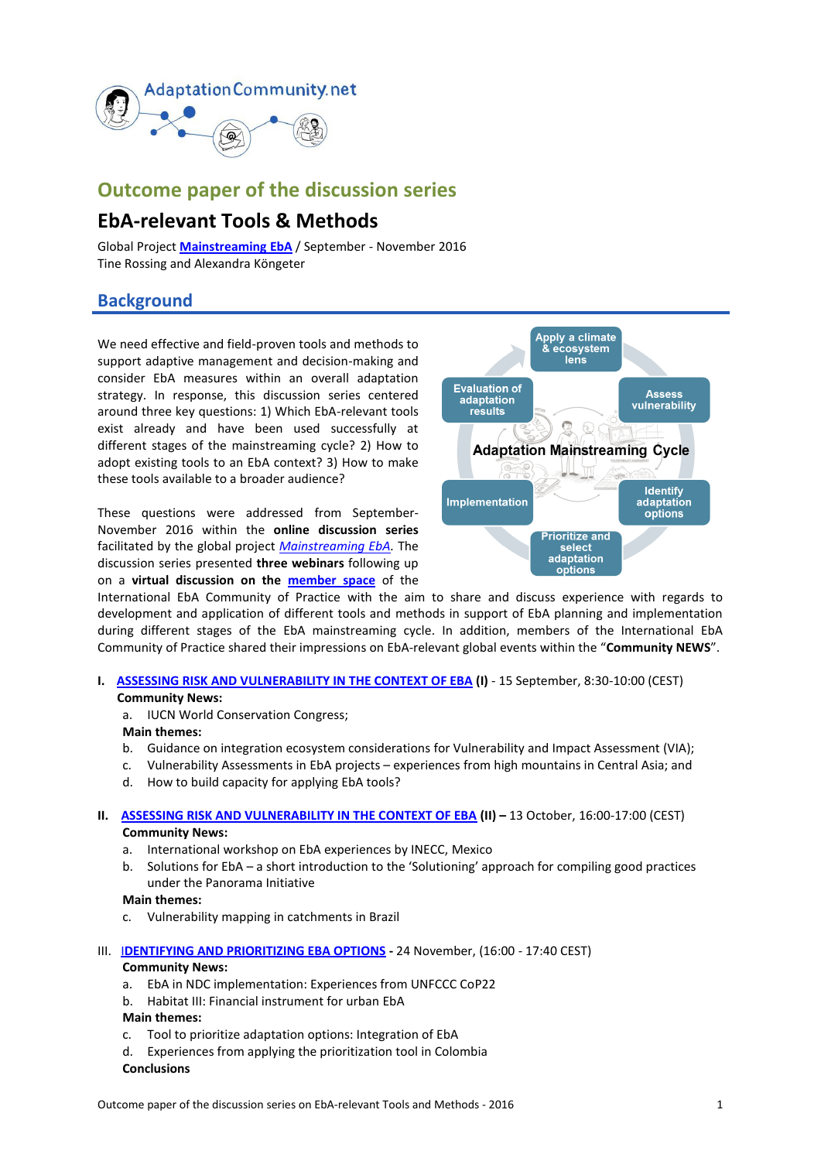

## **Outcome paper of the discussion series**

# **EbA-relevant Tools & Methods**

Global Project **[Mainstreaming](https://www.giz.de/en/worldwide/37322.html) EbA** / September - November 2016 Tine Rossing and Alexandra Köngeter

## **Background**

We need effective and field-proven tools and methods to support adaptive management and decision-making and consider EbA measures within an overall adaptation strategy. In response, this discussion series centered around three key questions: 1) Which EbA-relevant tools exist already and have been used successfully at different stages of the mainstreaming cycle? 2) How to adopt existing tools to an EbA context? 3) How to make these tools available to a broader audience?

These questions were addressed from September-November 2016 within the **online discussion series** facilitated by the global project *[Mainstreaming EbA.](https://www.giz.de/en/worldwide/37322.html)* The discussion series presented **three webinars** following up on a **virtual discussion on the [member space](https://gc21.giz.de/ibt/var/app/wp385v/2819/index.php/groups/tools-methods/)** of the



International EbA Community of Practice with the aim to share and discuss experience with regards to development and application of different tools and methods in support of EbA planning and implementation during different stages of the EbA mainstreaming cycle. In addition, members of the International EbA Community of Practice shared their impressions on EbA-relevant global events within the "**Community NEWS**".

#### **I. [ASSESSING RISK AND VULNERABILITY IN THE CONTEXT OF EBA](https://www.youtube.com/watch?v=OTeKczt87r4&feature=youtu.be) (I)** - 15 September, 8:30-10:00 (CEST) **Community News:**

a. IUCN World Conservation Congress;

#### **Main themes:**

- b. Guidance on integration ecosystem considerations for Vulnerability and Impact Assessment (VIA);
- c. Vulnerability Assessments in EbA projects experiences from high mountains in Central Asia; and
- d. How to build capacity for applying EbA tools?

#### **II. [ASSESSING RISK AND VULNERABILITY IN THE CONTEXT OF EBA](https://www.youtube.com/watch?v=MG4ru2u5-V0) (II) –** 13 October, 16:00-17:00 (CEST) **Community News:**

- a. International workshop on EbA experiences by INECC, Mexico
- b. Solutions for EbA a short introduction to the 'Solutioning' approach for compiling good practices under the Panorama Initiative

#### **Main themes:**

- c. Vulnerability mapping in catchments in Brazil
- III. I**[DENTIFYING AND PRIORITIZING EBA OPTIONS](https://www.youtube.com/watch?v=MI8INUUQeDc) -** 24 November, (16:00 17:40 CEST) **Community News:** 
	- a. EbA in NDC implementation: Experiences from UNFCCC CoP22
	- b. Habitat III: Financial instrument for urban EbA

#### **Main themes:**

- c. Tool to prioritize adaptation options: Integration of EbA
- d. Experiences from applying the prioritization tool in Colombia
- **Conclusions**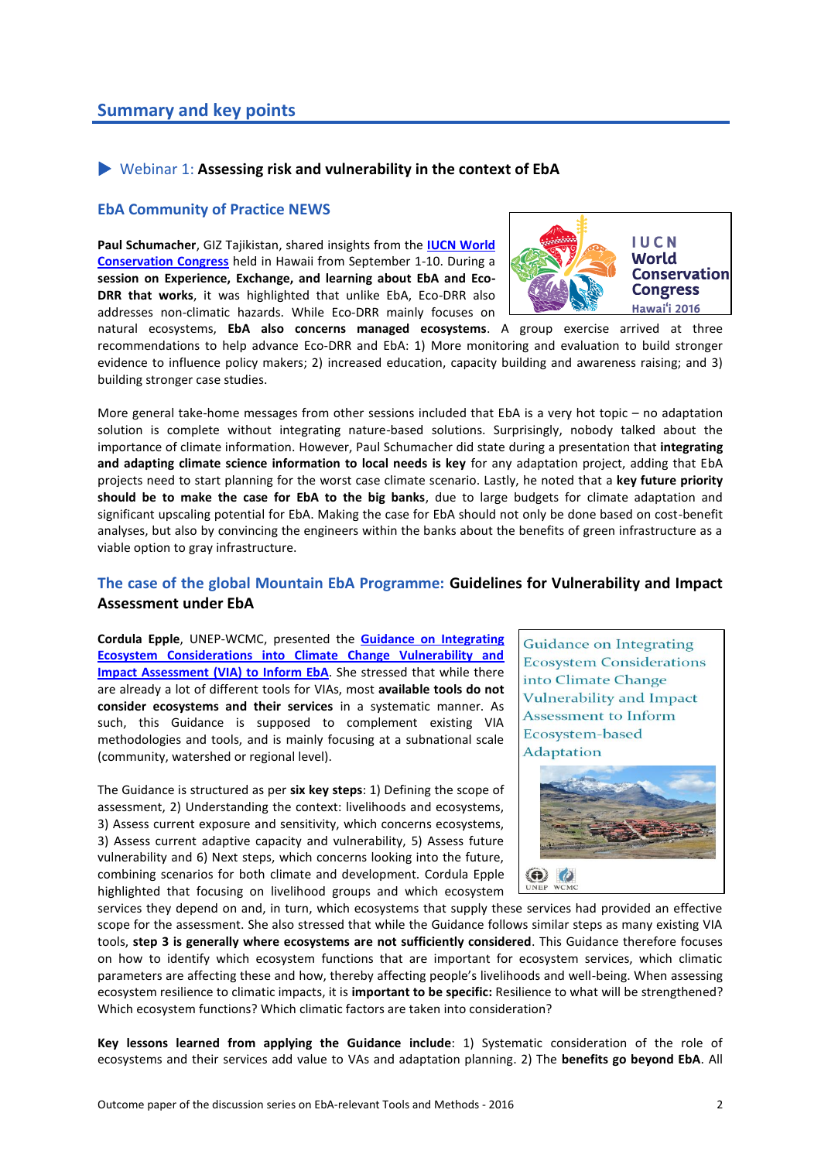## Webinar 1: **Assessing risk and vulnerability in the context of EbA**

#### **EbA Community of Practice NEWS**

**Paul Schumacher**, GIZ Tajikistan, shared insights from the **[IUCN World](http://www.iucnworldconservationcongress.org/)  [Conservation Congress](http://www.iucnworldconservationcongress.org/)** held in Hawaii from September 1-10. During a **session on Experience, Exchange, and learning about EbA and Eco-DRR that works**, it was highlighted that unlike EbA, Eco-DRR also addresses non-climatic hazards. While Eco-DRR mainly focuses on



natural ecosystems, **EbA also concerns managed ecosystems**. A group exercise arrived at three recommendations to help advance Eco-DRR and EbA: 1) More monitoring and evaluation to build stronger evidence to influence policy makers; 2) increased education, capacity building and awareness raising; and 3) building stronger case studies.

More general take-home messages from other sessions included that EbA is a very hot topic – no adaptation solution is complete without integrating nature-based solutions. Surprisingly, nobody talked about the importance of climate information. However, Paul Schumacher did state during a presentation that **integrating and adapting climate science information to local needs is key** for any adaptation project, adding that EbA projects need to start planning for the worst case climate scenario. Lastly, he noted that a **key future priority should be to make the case for EbA to the big banks**, due to large budgets for climate adaptation and significant upscaling potential for EbA. Making the case for EbA should not only be done based on cost-benefit analyses, but also by convincing the engineers within the banks about the benefits of green infrastructure as a viable option to gray infrastructure.

## **The case of the global Mountain EbA Programme: Guidelines for Vulnerability and Impact Assessment under EbA**

**Cordula Epple**, UNEP-WCMC, presented the **[Guidance on Integrating](http://adaptation-undp.org/sites/default/files/downloads/viag_guidance.pdf)  [Ecosystem Considerations into Climate Change Vulnerability and](http://adaptation-undp.org/sites/default/files/downloads/viag_guidance.pdf)  [Impact Assessment](http://adaptation-undp.org/sites/default/files/downloads/viag_guidance.pdf) (VIA) to Inform EbA**. She stressed that while there are already a lot of different tools for VIAs, most **available tools do not consider ecosystems and their services** in a systematic manner. As such, this Guidance is supposed to complement existing VIA methodologies and tools, and is mainly focusing at a subnational scale (community, watershed or regional level).

The Guidance is structured as per **six key steps**: 1) Defining the scope of assessment, 2) Understanding the context: livelihoods and ecosystems, 3) Assess current exposure and sensitivity, which concerns ecosystems, 3) Assess current adaptive capacity and vulnerability, 5) Assess future vulnerability and 6) Next steps, which concerns looking into the future, combining scenarios for both climate and development. Cordula Epple highlighted that focusing on livelihood groups and which ecosystem

**Guidance on Integrating Ecosystem Considerations** into Climate Change Vulnerability and Impact Assessment to Inform Ecosystem-based Adaptation



services they depend on and, in turn, which ecosystems that supply these services had provided an effective scope for the assessment. She also stressed that while the Guidance follows similar steps as many existing VIA tools, **step 3 is generally where ecosystems are not sufficiently considered**. This Guidance therefore focuses on how to identify which ecosystem functions that are important for ecosystem services, which climatic parameters are affecting these and how, thereby affecting people's livelihoods and well-being. When assessing ecosystem resilience to climatic impacts, it is **important to be specific:** Resilience to what will be strengthened? Which ecosystem functions? Which climatic factors are taken into consideration?

**Key lessons learned from applying the Guidance include**: 1) Systematic consideration of the role of ecosystems and their services add value to VAs and adaptation planning. 2) The **benefits go beyond EbA**. All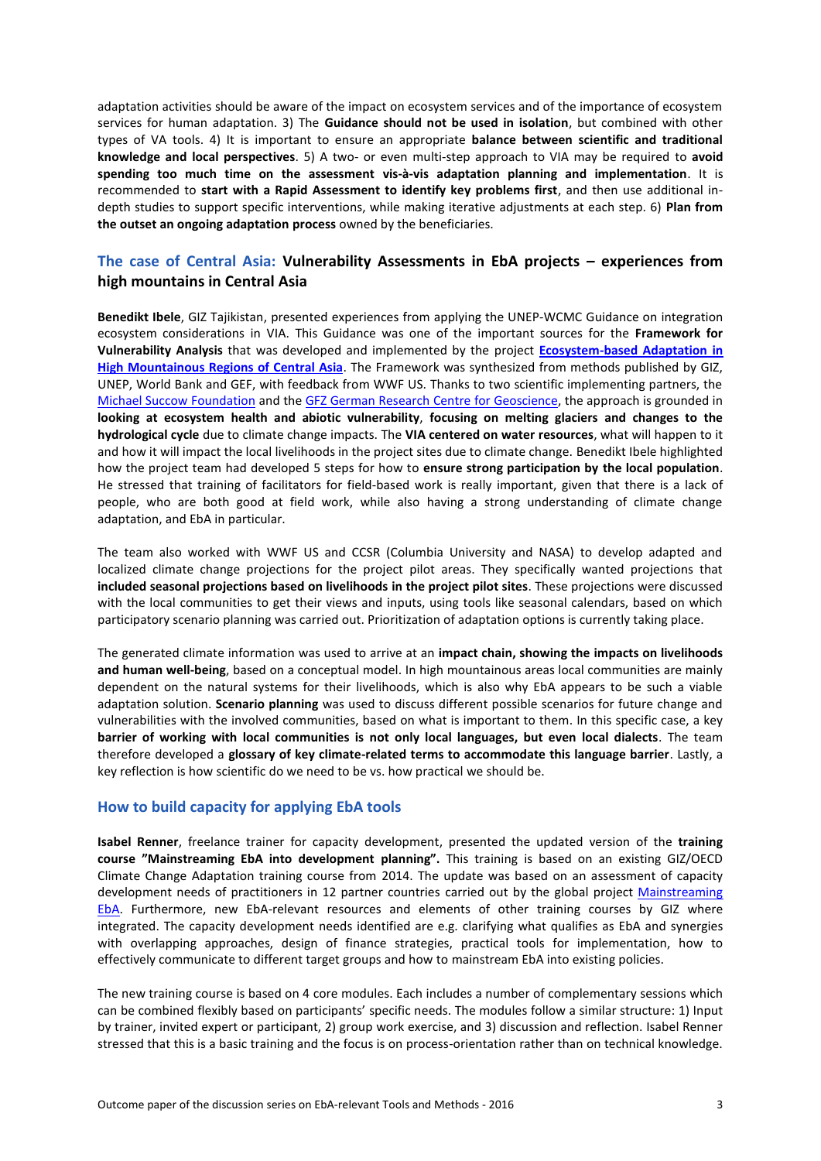adaptation activities should be aware of the impact on ecosystem services and of the importance of ecosystem services for human adaptation. 3) The **Guidance should not be used in isolation**, but combined with other types of VA tools. 4) It is important to ensure an appropriate **balance between scientific and traditional knowledge and local perspectives**. 5) A two- or even multi-step approach to VIA may be required to **avoid spending too much time on the assessment vis-à-vis adaptation planning and implementation**. It is recommended to **start with a Rapid Assessment to identify key problems first**, and then use additional indepth studies to support specific interventions, while making iterative adjustments at each step. 6) **Plan from the outset an ongoing adaptation process** owned by the beneficiaries.

## **The case of Central Asia: Vulnerability Assessments in EbA projects – experiences from high mountains in Central Asia**

**Benedikt Ibele**, GIZ Tajikistan, presented experiences from applying the UNEP-WCMC Guidance on integration ecosystem considerations in VIA. This Guidance was one of the important sources for the **Framework for Vulnerability Analysis** that was developed and implemented by the project **[Ecosystem-based Adaptation](https://www.giz.de/de/weltweit/40944.html) in [High Mountainous Regions of Central Asia](https://www.giz.de/de/weltweit/40944.html)**. The Framework was synthesized from methods published by GIZ, UNEP, World Bank and GEF, with feedback from WWF US. Thanks to two scientific implementing partners, the [Michael Succow Foundation](http://www.succow-stiftung.de/home.html) and th[e GFZ German Research Centre for Geoscience,](http://www.gfz-potsdam.de/en/centre/about-us/) the approach is grounded in **looking at ecosystem health and abiotic vulnerability**, **focusing on melting glaciers and changes to the hydrological cycle** due to climate change impacts. The **VIA centered on water resources**, what will happen to it and how it will impact the local livelihoods in the project sites due to climate change. Benedikt Ibele highlighted how the project team had developed 5 steps for how to **ensure strong participation by the local population**. He stressed that training of facilitators for field-based work is really important, given that there is a lack of people, who are both good at field work, while also having a strong understanding of climate change adaptation, and EbA in particular.

The team also worked with WWF US and CCSR (Columbia University and NASA) to develop adapted and localized climate change projections for the project pilot areas. They specifically wanted projections that **included seasonal projections based on livelihoods in the project pilot sites**. These projections were discussed with the local communities to get their views and inputs, using tools like seasonal calendars, based on which participatory scenario planning was carried out. Prioritization of adaptation options is currently taking place.

The generated climate information was used to arrive at an **impact chain, showing the impacts on livelihoods and human well-being**, based on a conceptual model. In high mountainous areas local communities are mainly dependent on the natural systems for their livelihoods, which is also why EbA appears to be such a viable adaptation solution. **Scenario planning** was used to discuss different possible scenarios for future change and vulnerabilities with the involved communities, based on what is important to them. In this specific case, a key **barrier of working with local communities is not only local languages, but even local dialects**. The team therefore developed a **glossary of key climate-related terms to accommodate this language barrier**. Lastly, a key reflection is how scientific do we need to be vs. how practical we should be.

#### **How to build capacity for applying EbA tools**

**Isabel Renner**, freelance trainer for capacity development, presented the updated version of the **training course "Mainstreaming EbA into development planning".** This training is based on an existing GIZ/OECD Climate Change Adaptation training course from 2014. The update was based on an assessment of capacity development needs of practitioners in 12 partner countries carried out by the global project Mainstreaming [EbA.](https://www.giz.de/en/worldwide/37322.html) Furthermore, new EbA-relevant resources and elements of other training courses by GIZ where integrated. The capacity development needs identified are e.g. clarifying what qualifies as EbA and synergies with overlapping approaches, design of finance strategies, practical tools for implementation, how to effectively communicate to different target groups and how to mainstream EbA into existing policies.

The new training course is based on 4 core modules. Each includes a number of complementary sessions which can be combined flexibly based on participants' specific needs. The modules follow a similar structure: 1) Input by trainer, invited expert or participant, 2) group work exercise, and 3) discussion and reflection. Isabel Renner stressed that this is a basic training and the focus is on process-orientation rather than on technical knowledge.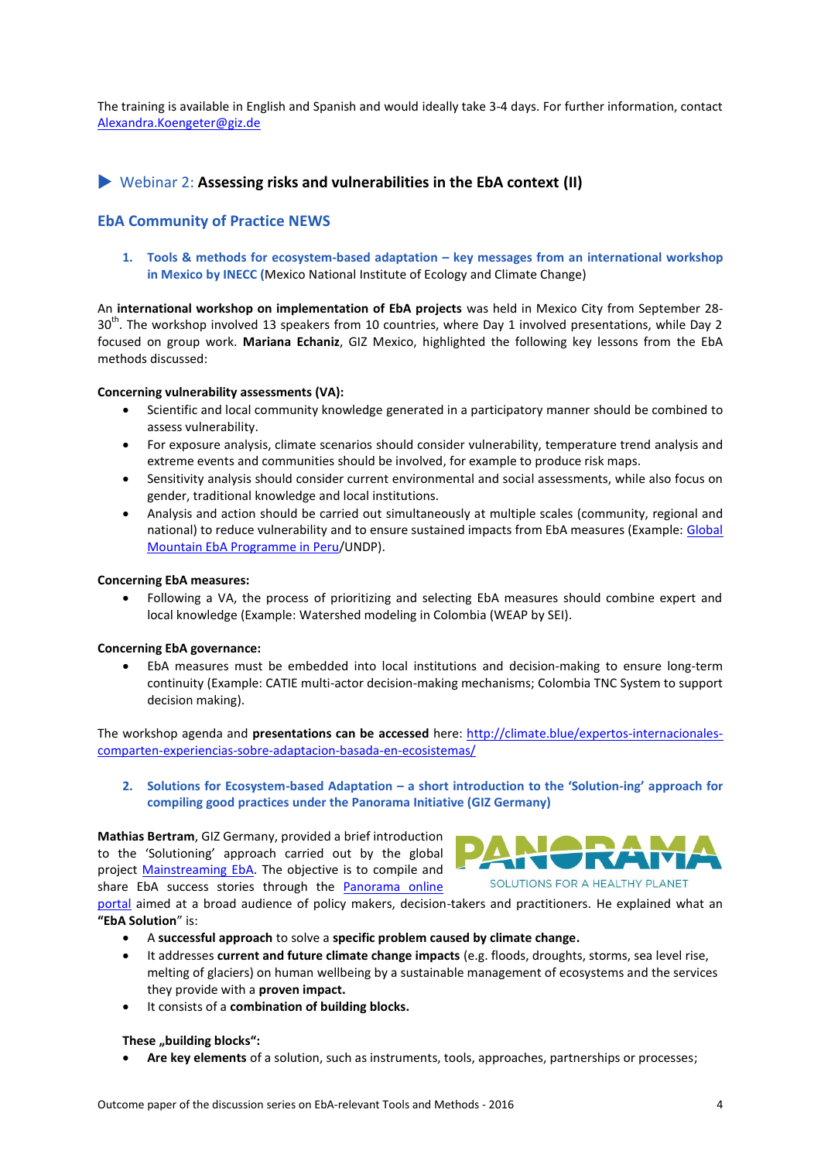The training is available in English and Spanish and would ideally take 3-4 days. For further information, contact [Alexandra.Koengeter@giz.de](mailto:Alexandra.Koengeter@giz.de)

## Webinar 2: **Assessing risks and vulnerabilities in the EbA context (II)**

## **EbA Community of Practice NEWS**

1. **Tools & methods for ecosystem-based adaptation – key messages from an international workshop in Mexico by INECC (**Mexico National Institute of Ecology and Climate Change)

An **international workshop on implementation of EbA projects** was held in Mexico City from September 28- 30<sup>th</sup>. The workshop involved 13 speakers from 10 countries, where Day 1 involved presentations, while Day 2 focused on group work. **Mariana Echaniz**, GIZ Mexico, highlighted the following key lessons from the EbA methods discussed:

#### **Concerning vulnerability assessments (VA):**

- Scientific and local community knowledge generated in a participatory manner should be combined to assess vulnerability.
- For exposure analysis, climate scenarios should consider vulnerability, temperature trend analysis and extreme events and communities should be involved, for example to produce risk maps.
- Sensitivity analysis should consider current environmental and social assessments, while also focus on gender, traditional knowledge and local institutions.
- Analysis and action should be carried out simultaneously at multiple scales (community, regional and national) to reduce vulnerability and to ensure sustained impacts from EbA measures (Example: [Global](http://adaptation-undp.org/projects/mountain-eba-peru)  [Mountain EbA Programme in Peru/](http://adaptation-undp.org/projects/mountain-eba-peru)UNDP).

#### **Concerning EbA measures:**

 Following a VA, the process of prioritizing and selecting EbA measures should combine expert and local knowledge (Example: Watershed modeling in Colombia (WEAP by SEI).

#### **Concerning EbA governance:**

 EbA measures must be embedded into local institutions and decision-making to ensure long-term continuity (Example: CATIE multi-actor decision-making mechanisms; Colombia TNC System to support decision making).

The workshop agenda and **presentations can be accessed** here: [http://climate.blue/expertos-internacionales](http://climate.blue/expertos-internacionales-comparten-experiencias-sobre-adaptacion-basada-en-ecosistemas/)[comparten-experiencias-sobre-adaptacion-basada-en-ecosistemas/](http://climate.blue/expertos-internacionales-comparten-experiencias-sobre-adaptacion-basada-en-ecosistemas/)

**2. Solutions for Ecosystem-based Adaptation – a short introduction to the 'Solution-ing' approach for compiling good practices under the Panorama Initiative (GIZ Germany)**

**Mathias Bertram**, GIZ Germany, provided a brief introduction to the 'Solutioning' approach carried out by the global project [Mainstreaming EbA.](https://www.giz.de/en/worldwide/37322.html) The objective is to compile and share EbA success stories through the [Panorama online](http://panorama.solutions/en/) 



[portal](http://panorama.solutions/en/) aimed at a broad audience of policy makers, decision-takers and practitioners. He explained what an **"EbA Solution**" is:

- A **successful approach** to solve a **specific problem caused by climate change.**
- It addresses **current and future climate change impacts** (e.g. floods, droughts, storms, sea level rise, melting of glaciers) on human wellbeing by a sustainable management of ecosystems and the services they provide with a **proven impact.**
- It consists of a **combination of building blocks.**

#### **These** "building blocks":

**Are key elements** of a solution, such as instruments, tools, approaches, partnerships or processes;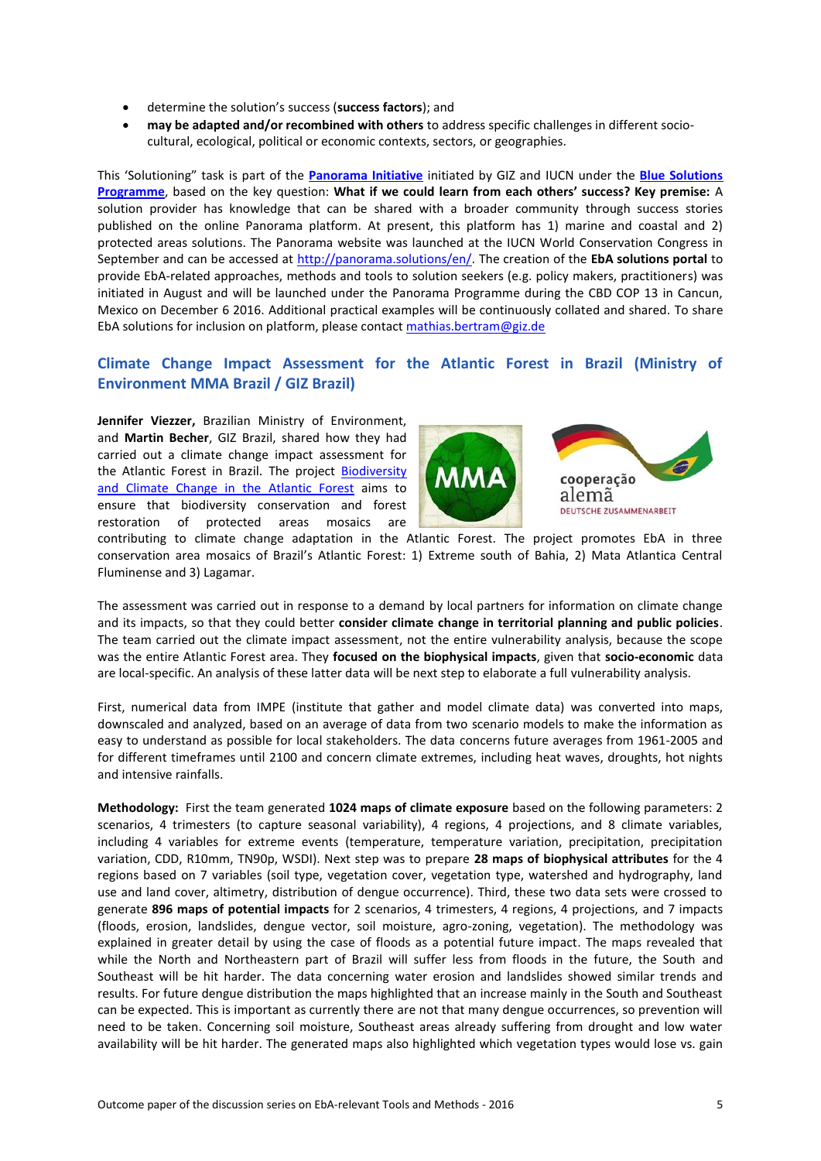- determine the solution's success (**success factors**); and
- **may be adapted and/or recombined with others** to address specific challenges in different sociocultural, ecological, political or economic contexts, sectors, or geographies.

This 'Solutioning" task is part of the **[Panorama Initiative](http://panorama.solutions/en/about-panorama)** initiated by GIZ and IUCN under the **[Blue Solutions](https://bluesolutions.info/)  [Programme](https://bluesolutions.info/)**, based on the key question: **What if we could learn from each others' success? Key premise:** A solution provider has knowledge that can be shared with a broader community through success stories published on the online Panorama platform. At present, this platform has 1) marine and coastal and 2) protected areas solutions. The Panorama website was launched at the IUCN World Conservation Congress in September and can be accessed at [http://panorama.solutions/en/.](http://panorama.solutions/en/) The creation of the **EbA solutions portal** to provide EbA-related approaches, methods and tools to solution seekers (e.g. policy makers, practitioners) was initiated in August and will be launched under the Panorama Programme during the CBD COP 13 in Cancun, Mexico on December 6 2016. Additional practical examples will be continuously collated and shared. To share EbA solutions for inclusion on platform, please contac[t mathias.bertram@giz.de](mailto:mathias.bertram@giz.de)

## **Climate Change Impact Assessment for the Atlantic Forest in Brazil (Ministry of Environment MMA Brazil / GIZ Brazil)**

**Jennifer Viezzer,** Brazilian Ministry of Environment, and **Martin Becher**, GIZ Brazil, shared how they had carried out a climate change impact assessment for the Atlantic Forest in Brazil. The project [Biodiversity](https://www.giz.de/en/worldwide/23672.html)  and [Climate Change in the Atlantic Forest](https://www.giz.de/en/worldwide/23672.html) aims to ensure that biodiversity conservation and forest restoration of protected areas mosaics are



contributing to climate change adaptation in the Atlantic Forest. The project promotes EbA in three conservation area mosaics of Brazil's Atlantic Forest: 1) Extreme south of Bahia, 2) Mata Atlantica Central Fluminense and 3) Lagamar.

The assessment was carried out in response to a demand by local partners for information on climate change and its impacts, so that they could better **consider climate change in territorial planning and public policies**. The team carried out the climate impact assessment, not the entire vulnerability analysis, because the scope was the entire Atlantic Forest area. They **focused on the biophysical impacts**, given that **socio-economic** data are local-specific. An analysis of these latter data will be next step to elaborate a full vulnerability analysis.

First, numerical data from IMPE (institute that gather and model climate data) was converted into maps, downscaled and analyzed, based on an average of data from two scenario models to make the information as easy to understand as possible for local stakeholders. The data concerns future averages from 1961-2005 and for different timeframes until 2100 and concern climate extremes, including heat waves, droughts, hot nights and intensive rainfalls.

**Methodology:** First the team generated **1024 maps of climate exposure** based on the following parameters: 2 scenarios, 4 trimesters (to capture seasonal variability), 4 regions, 4 projections, and 8 climate variables, including 4 variables for extreme events (temperature, temperature variation, precipitation, precipitation variation, CDD, R10mm, TN90p, WSDI). Next step was to prepare **28 maps of biophysical attributes** for the 4 regions based on 7 variables (soil type, vegetation cover, vegetation type, watershed and hydrography, land use and land cover, altimetry, distribution of dengue occurrence). Third, these two data sets were crossed to generate **896 maps of potential impacts** for 2 scenarios, 4 trimesters, 4 regions, 4 projections, and 7 impacts (floods, erosion, landslides, dengue vector, soil moisture, agro-zoning, vegetation). The methodology was explained in greater detail by using the case of floods as a potential future impact. The maps revealed that while the North and Northeastern part of Brazil will suffer less from floods in the future, the South and Southeast will be hit harder. The data concerning water erosion and landslides showed similar trends and results. For future dengue distribution the maps highlighted that an increase mainly in the South and Southeast can be expected. This is important as currently there are not that many dengue occurrences, so prevention will need to be taken. Concerning soil moisture, Southeast areas already suffering from drought and low water availability will be hit harder. The generated maps also highlighted which vegetation types would lose vs. gain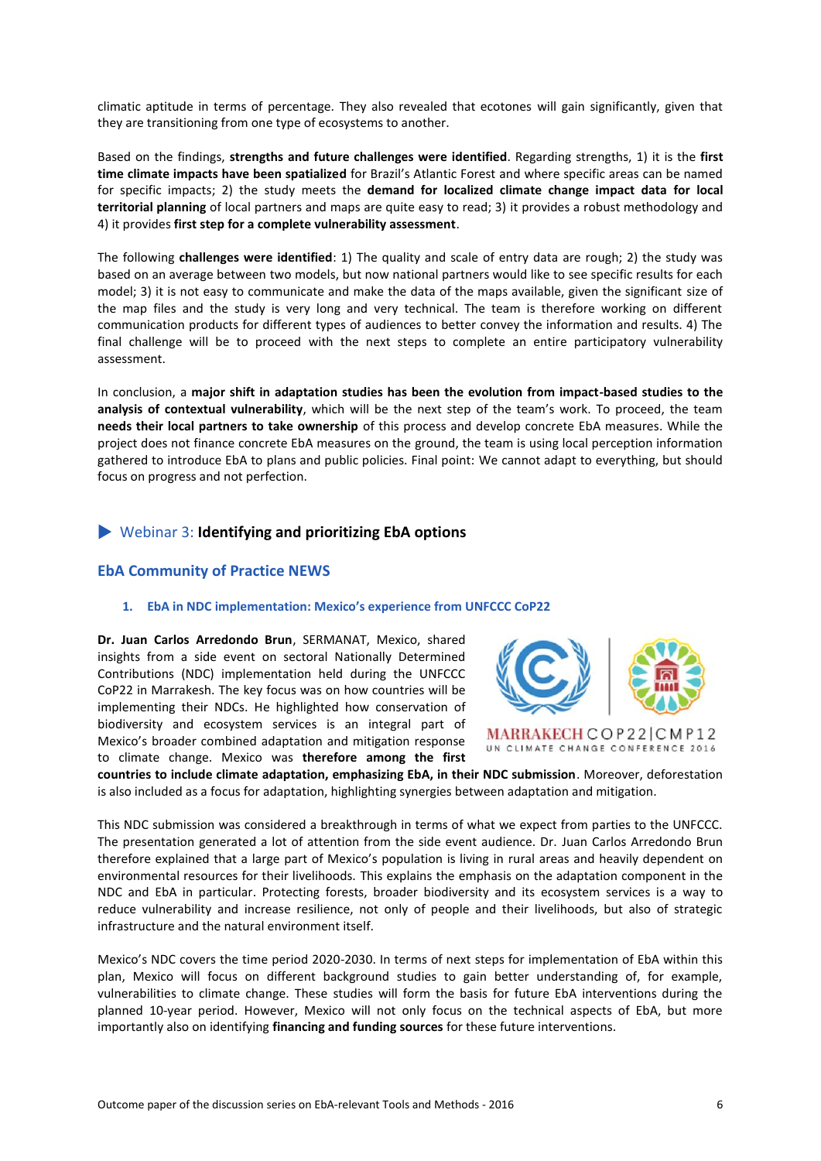climatic aptitude in terms of percentage. They also revealed that ecotones will gain significantly, given that they are transitioning from one type of ecosystems to another.

Based on the findings, **strengths and future challenges were identified**. Regarding strengths, 1) it is the **first time climate impacts have been spatialized** for Brazil's Atlantic Forest and where specific areas can be named for specific impacts; 2) the study meets the **demand for localized climate change impact data for local territorial planning** of local partners and maps are quite easy to read; 3) it provides a robust methodology and 4) it provides **first step for a complete vulnerability assessment**.

The following **challenges were identified**: 1) The quality and scale of entry data are rough; 2) the study was based on an average between two models, but now national partners would like to see specific results for each model; 3) it is not easy to communicate and make the data of the maps available, given the significant size of the map files and the study is very long and very technical. The team is therefore working on different communication products for different types of audiences to better convey the information and results. 4) The final challenge will be to proceed with the next steps to complete an entire participatory vulnerability assessment.

In conclusion, a **major shift in adaptation studies has been the evolution from impact-based studies to the analysis of contextual vulnerability**, which will be the next step of the team's work. To proceed, the team **needs their local partners to take ownership** of this process and develop concrete EbA measures. While the project does not finance concrete EbA measures on the ground, the team is using local perception information gathered to introduce EbA to plans and public policies. Final point: We cannot adapt to everything, but should focus on progress and not perfection.

## Webinar 3: **Identifying and prioritizing EbA options**

#### **EbA Community of Practice NEWS**

#### **1. EbA in NDC implementation: Mexico's experience from UNFCCC CoP22**

**Dr. Juan Carlos Arredondo Brun**, SERMANAT, Mexico, shared insights from a side event on sectoral Nationally Determined Contributions (NDC) implementation held during the UNFCCC CoP22 in Marrakesh. The key focus was on how countries will be implementing their NDCs. He highlighted how conservation of biodiversity and ecosystem services is an integral part of Mexico's broader combined adaptation and mitigation response to climate change. Mexico was **therefore among the first** 



**countries to include climate adaptation, emphasizing EbA, in their NDC submission**. Moreover, deforestation is also included as a focus for adaptation, highlighting synergies between adaptation and mitigation.

This NDC submission was considered a breakthrough in terms of what we expect from parties to the UNFCCC. The presentation generated a lot of attention from the side event audience. Dr. Juan Carlos Arredondo Brun therefore explained that a large part of Mexico's population is living in rural areas and heavily dependent on environmental resources for their livelihoods. This explains the emphasis on the adaptation component in the NDC and EbA in particular. Protecting forests, broader biodiversity and its ecosystem services is a way to reduce vulnerability and increase resilience, not only of people and their livelihoods, but also of strategic infrastructure and the natural environment itself.

Mexico's NDC covers the time period 2020-2030. In terms of next steps for implementation of EbA within this plan, Mexico will focus on different background studies to gain better understanding of, for example, vulnerabilities to climate change. These studies will form the basis for future EbA interventions during the planned 10-year period. However, Mexico will not only focus on the technical aspects of EbA, but more importantly also on identifying **financing and funding sources** for these future interventions.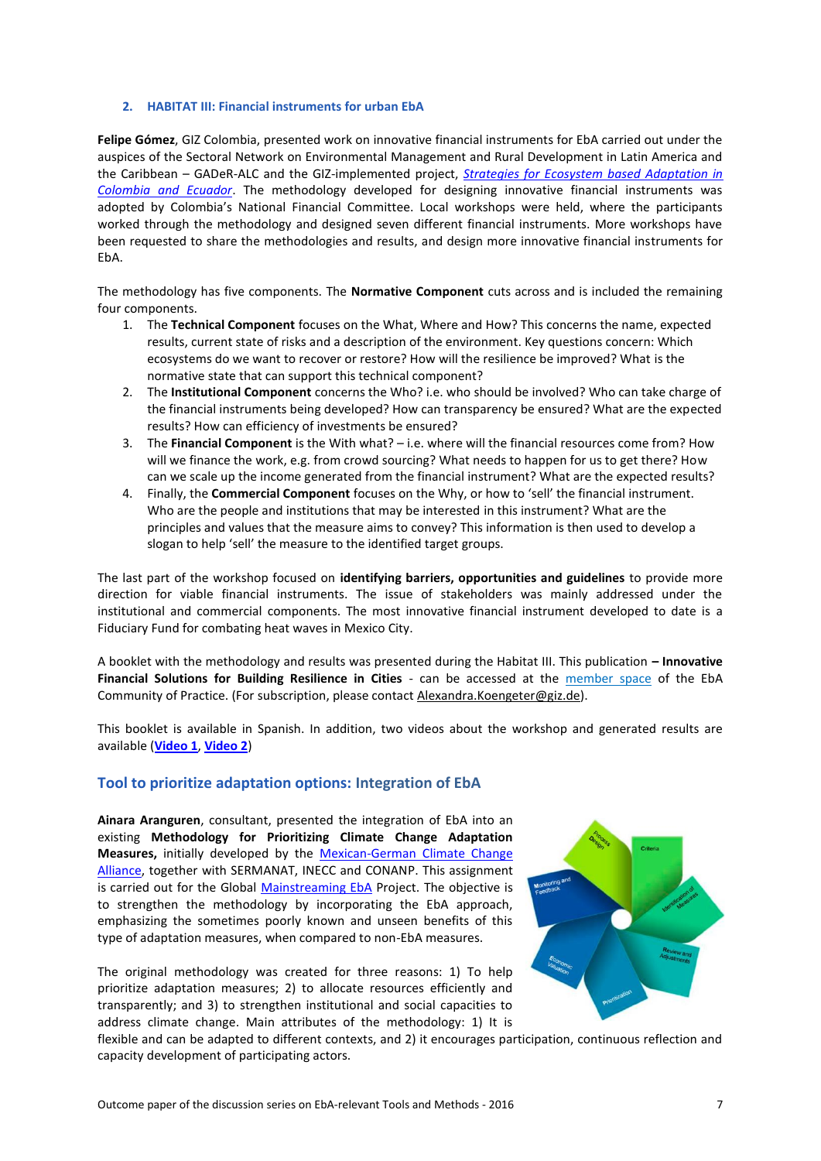#### **2. HABITAT III: Financial instruments for urban EbA**

**Felipe Gómez**, GIZ Colombia, presented work on innovative financial instruments for EbA carried out under the auspices of the Sectoral Network on Environmental Management and Rural Development in Latin America and the Caribbean – GADeR-ALC and the GIZ-implemented project, *[Strategies for Ecosystem based Adaptation in](https://www.giz.de/en/worldwide/38930.html)  [Colombia and Ecuador](https://www.giz.de/en/worldwide/38930.html)*. The methodology developed for designing innovative financial instruments was adopted by Colombia's National Financial Committee. Local workshops were held, where the participants worked through the methodology and designed seven different financial instruments. More workshops have been requested to share the methodologies and results, and design more innovative financial instruments for EbA.

The methodology has five components. The **Normative Component** cuts across and is included the remaining four components.

- 1. The **Technical Component** focuses on the What, Where and How? This concerns the name, expected results, current state of risks and a description of the environment. Key questions concern: Which ecosystems do we want to recover or restore? How will the resilience be improved? What is the normative state that can support this technical component?
- 2. The **Institutional Component** concerns the Who? i.e. who should be involved? Who can take charge of the financial instruments being developed? How can transparency be ensured? What are the expected results? How can efficiency of investments be ensured?
- 3. The **Financial Component** is the With what? i.e. where will the financial resources come from? How will we finance the work, e.g. from crowd sourcing? What needs to happen for us to get there? How can we scale up the income generated from the financial instrument? What are the expected results?
- 4. Finally, the **Commercial Component** focuses on the Why, or how to 'sell' the financial instrument. Who are the people and institutions that may be interested in this instrument? What are the principles and values that the measure aims to convey? This information is then used to develop a slogan to help 'sell' the measure to the identified target groups.

The last part of the workshop focused on **identifying barriers, opportunities and guidelines** to provide more direction for viable financial instruments. The issue of stakeholders was mainly addressed under the institutional and commercial components. The most innovative financial instrument developed to date is a Fiduciary Fund for combating heat waves in Mexico City.

A booklet with the methodology and results was presented during the Habitat III. This publication **– Innovative Financial Solutions for Building Resilience in Cities** - can be accessed at the [member space](https://gc21.giz.de/ibt/var/app/wp385v/2819/wp-content/uploads/bp-attachments/1660/CARTILLA_VERSION_WEB.pdf) of the EbA Community of Practice. (For subscription, please contac[t Alexandra.Koengeter@giz.de\)](mailto:Alexandra.Koengeter@giz.de).

This booklet is available in Spanish. In addition, two videos about the workshop and generated results are available (**[Video 1](https://goo.gl/zXAAWr)**, **[Video 2](https://goo.gl/C1GBuc)**)

#### **Tool to prioritize adaptation options: Integration of EbA**

**Ainara Aranguren**, consultant, presented the integration of EbA into an existing **Methodology for Prioritizing Climate Change Adaptation Measures,** initially developed by the [Mexican-German Climate Change](https://www.giz.de/en/worldwide/25691.html)  [Alliance,](https://www.giz.de/en/worldwide/25691.html) together with SERMANAT, INECC and CONANP. This assignment is carried out for the Global [Mainstreaming](https://www.giz.de/en/worldwide/37322.html) EbA Project. The objective is to strengthen the methodology by incorporating the EbA approach, emphasizing the sometimes poorly known and unseen benefits of this type of adaptation measures, when compared to non-EbA measures.

The original methodology was created for three reasons: 1) To help prioritize adaptation measures; 2) to allocate resources efficiently and transparently; and 3) to strengthen institutional and social capacities to address climate change. Main attributes of the methodology: 1) It is



flexible and can be adapted to different contexts, and 2) it encourages participation, continuous reflection and capacity development of participating actors.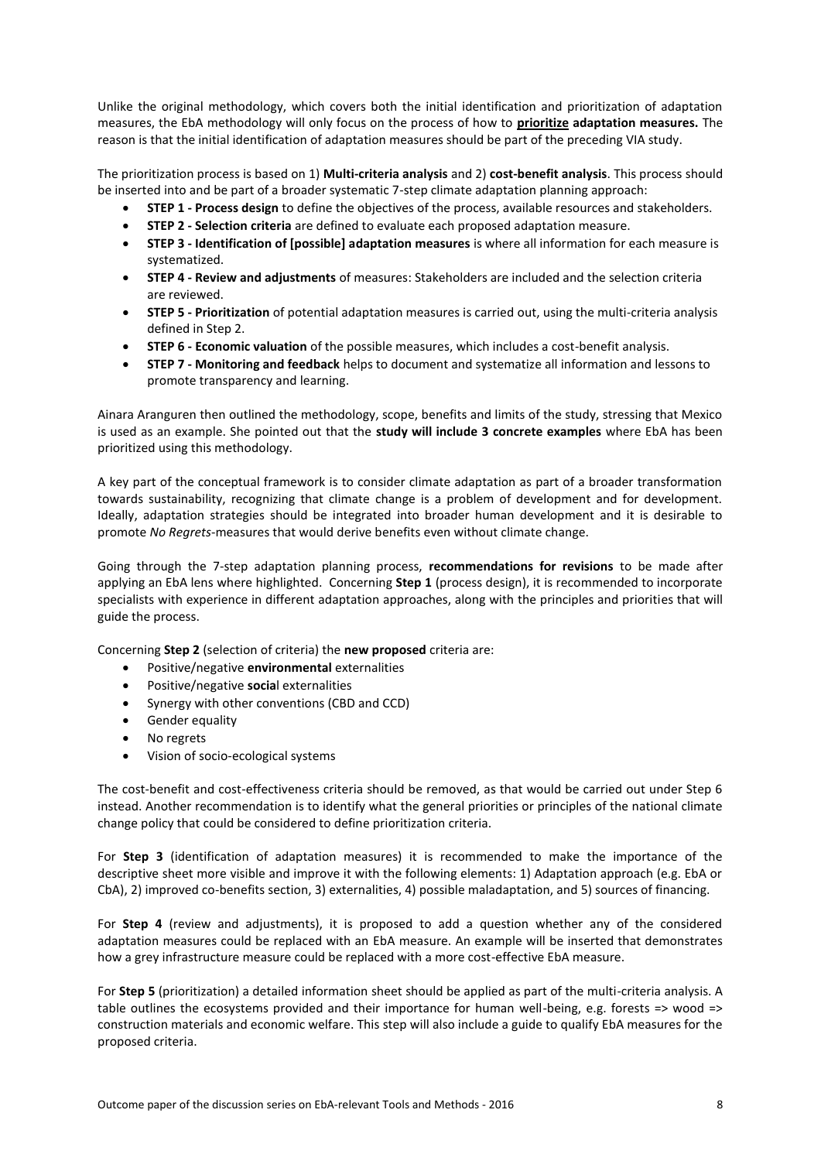Unlike the original methodology, which covers both the initial identification and prioritization of adaptation measures, the EbA methodology will only focus on the process of how to **prioritize adaptation measures.** The reason is that the initial identification of adaptation measures should be part of the preceding VIA study.

The prioritization process is based on 1) **Multi-criteria analysis** and 2) **cost-benefit analysis**. This process should be inserted into and be part of a broader systematic 7-step climate adaptation planning approach:

- **STEP 1 - Process design** to define the objectives of the process, available resources and stakeholders.
- **STEP 2 - Selection criteria** are defined to evaluate each proposed adaptation measure.
- **STEP 3 - Identification of [possible] adaptation measures** is where all information for each measure is systematized.
- **STEP 4 - Review and adjustments** of measures: Stakeholders are included and the selection criteria are reviewed.
- **STEP 5 - Prioritization** of potential adaptation measures is carried out, using the multi-criteria analysis defined in Step 2.
- **STEP 6 - Economic valuation** of the possible measures, which includes a cost-benefit analysis.
- **STEP 7 - Monitoring and feedback** helps to document and systematize all information and lessons to promote transparency and learning.

Ainara Aranguren then outlined the methodology, scope, benefits and limits of the study, stressing that Mexico is used as an example. She pointed out that the **study will include 3 concrete examples** where EbA has been prioritized using this methodology.

A key part of the conceptual framework is to consider climate adaptation as part of a broader transformation towards sustainability, recognizing that climate change is a problem of development and for development. Ideally, adaptation strategies should be integrated into broader human development and it is desirable to promote *No Regrets*-measures that would derive benefits even without climate change.

Going through the 7-step adaptation planning process, **recommendations for revisions** to be made after applying an EbA lens where highlighted. Concerning **Step 1** (process design), it is recommended to incorporate specialists with experience in different adaptation approaches, along with the principles and priorities that will guide the process.

Concerning **Step 2** (selection of criteria) the **new proposed** criteria are:

- Positive/negative **environmental** externalities
- Positive/negative **socia**l externalities
- Synergy with other conventions (CBD and CCD)
- **•** Gender equality
- No regrets
- Vision of socio-ecological systems

The cost-benefit and cost-effectiveness criteria should be removed, as that would be carried out under Step 6 instead. Another recommendation is to identify what the general priorities or principles of the national climate change policy that could be considered to define prioritization criteria.

For **Step 3** (identification of adaptation measures) it is recommended to make the importance of the descriptive sheet more visible and improve it with the following elements: 1) Adaptation approach (e.g. EbA or CbA), 2) improved co-benefits section, 3) externalities, 4) possible maladaptation, and 5) sources of financing.

For **Step 4** (review and adjustments), it is proposed to add a question whether any of the considered adaptation measures could be replaced with an EbA measure. An example will be inserted that demonstrates how a grey infrastructure measure could be replaced with a more cost-effective EbA measure.

For **Step 5** (prioritization) a detailed information sheet should be applied as part of the multi-criteria analysis. A table outlines the ecosystems provided and their importance for human well-being, e.g. forests => wood => construction materials and economic welfare. This step will also include a guide to qualify EbA measures for the proposed criteria.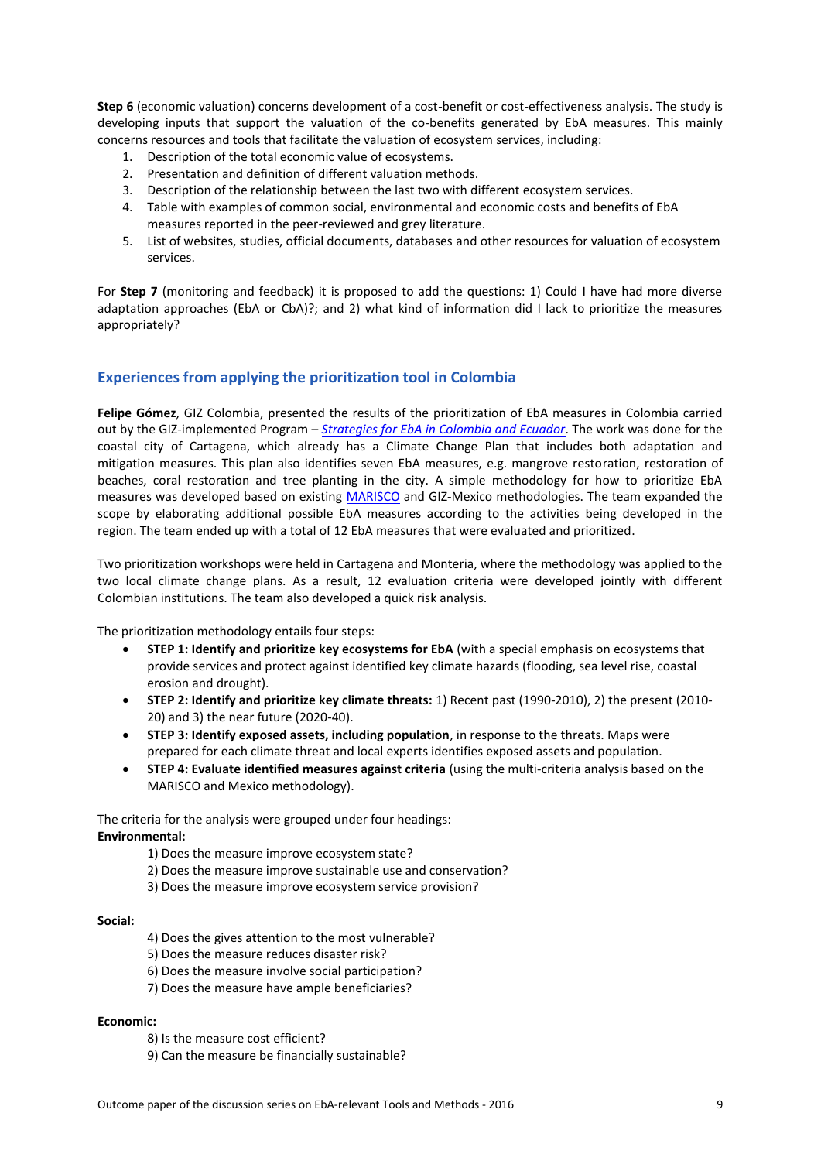**Step 6** (economic valuation) concerns development of a cost-benefit or cost-effectiveness analysis. The study is developing inputs that support the valuation of the co-benefits generated by EbA measures. This mainly concerns resources and tools that facilitate the valuation of ecosystem services, including:

- 1. Description of the total economic value of ecosystems.
- 2. Presentation and definition of different valuation methods.
- 3. Description of the relationship between the last two with different ecosystem services.
- 4. Table with examples of common social, environmental and economic costs and benefits of EbA measures reported in the peer-reviewed and grey literature.
- 5. List of websites, studies, official documents, databases and other resources for valuation of ecosystem services.

For **Step 7** (monitoring and feedback) it is proposed to add the questions: 1) Could I have had more diverse adaptation approaches (EbA or CbA)?; and 2) what kind of information did I lack to prioritize the measures appropriately?

#### **Experiences from applying the prioritization tool in Colombia**

**Felipe Gómez**, GIZ Colombia, presented the results of the prioritization of EbA measures in Colombia carried out by the GIZ-implemented Program – *[Strategies for EbA in Colombia and Ecuador](https://www.giz.de/en/worldwide/38930.html)*. The work was done for the coastal city of Cartagena, which already has a Climate Change Plan that includes both adaptation and mitigation measures. This plan also identifies seven EbA measures, e.g. mangrove restoration, restoration of beaches, coral restoration and tree planting in the city. A simple methodology for how to prioritize EbA measures was developed based on existing [MARISCO](https://www.giz.de/expertise/downloads/giz2013-en-biodiv-marisco.pdf) and GIZ-Mexico methodologies. The team expanded the scope by elaborating additional possible EbA measures according to the activities being developed in the region. The team ended up with a total of 12 EbA measures that were evaluated and prioritized.

Two prioritization workshops were held in Cartagena and Monteria, where the methodology was applied to the two local climate change plans. As a result, 12 evaluation criteria were developed jointly with different Colombian institutions. The team also developed a quick risk analysis.

The prioritization methodology entails four steps:

- **STEP 1: Identify and prioritize key ecosystems for EbA** (with a special emphasis on ecosystems that provide services and protect against identified key climate hazards (flooding, sea level rise, coastal erosion and drought).
- **STEP 2: Identify and prioritize key climate threats:** 1) Recent past (1990-2010), 2) the present (2010- 20) and 3) the near future (2020-40).
- **STEP 3: Identify exposed assets, including population**, in response to the threats. Maps were prepared for each climate threat and local experts identifies exposed assets and population.
- **STEP 4: Evaluate identified measures against criteria** (using the multi-criteria analysis based on the MARISCO and Mexico methodology).

The criteria for the analysis were grouped under four headings: **Environmental:**

- 1) Does the measure improve ecosystem state?
- 2) Does the measure improve sustainable use and conservation?
- 3) Does the measure improve ecosystem service provision?

#### **Social:**

- 4) Does the gives attention to the most vulnerable?
- 5) Does the measure reduces disaster risk?
- 6) Does the measure involve social participation?
- 7) Does the measure have ample beneficiaries?

#### **Economic:**

- 8) Is the measure cost efficient?
- 9) Can the measure be financially sustainable?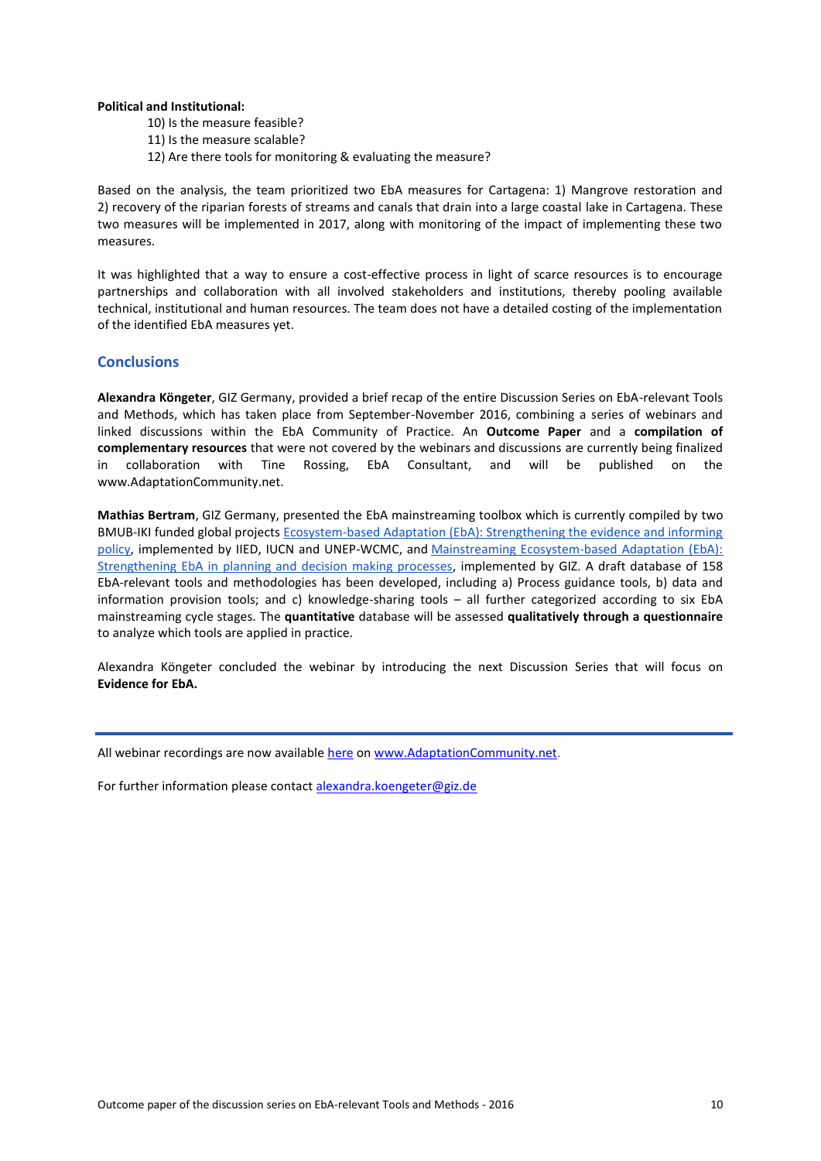#### **Political and Institutional:**

- 10) Is the measure feasible?
- 11) Is the measure scalable?
- 12) Are there tools for monitoring & evaluating the measure?

Based on the analysis, the team prioritized two EbA measures for Cartagena: 1) Mangrove restoration and 2) recovery of the riparian forests of streams and canals that drain into a large coastal lake in Cartagena. These two measures will be implemented in 2017, along with monitoring of the impact of implementing these two measures.

It was highlighted that a way to ensure a cost-effective process in light of scarce resources is to encourage partnerships and collaboration with all involved stakeholders and institutions, thereby pooling available technical, institutional and human resources. The team does not have a detailed costing of the implementation of the identified EbA measures yet.

#### **Conclusions**

**Alexandra Köngeter**, GIZ Germany, provided a brief recap of the entire Discussion Series on EbA-relevant Tools and Methods, which has taken place from September-November 2016, combining a series of webinars and linked discussions within the EbA Community of Practice. An **Outcome Paper** and a **compilation of complementary resources** that were not covered by the webinars and discussions are currently being finalized in collaboration with Tine Rossing, EbA Consultant, and will be published on the www.AdaptationCommunity.net.

**Mathias Bertram**, GIZ Germany, presented the EbA mainstreaming toolbox which is currently compiled by two BMUB-IKI funded global projects [Ecosystem-based Adaptation \(EbA\): Strengthening the evidence and informing](http://www.iied.org/ecosystem-based-approaches-climate-change-adaptation)  [policy,](http://www.iied.org/ecosystem-based-approaches-climate-change-adaptation) implemented by IIED, IUCN and UNEP-WCMC, and [Mainstreaming Ecosystem-based Adaptation \(EbA\):](https://www.giz.de/en/worldwide/37322.html)  [Strengthening EbA in planning and decision making processes,](https://www.giz.de/en/worldwide/37322.html) implemented by GIZ. A draft database of 158 EbA-relevant tools and methodologies has been developed, including a) Process guidance tools, b) data and information provision tools; and c) knowledge-sharing tools – all further categorized according to six EbA mainstreaming cycle stages. The **quantitative** database will be assessed **qualitatively through a questionnaire** to analyze which tools are applied in practice.

Alexandra Köngeter concluded the webinar by introducing the next Discussion Series that will focus on **Evidence for EbA.**

All webinar recordings are now available [here](http://www.adaptationcommunity.net/knowledge/ecosystem-based-adaptation/further-reading/) on www.AdaptationCommunity.net.

For further information please contact alexandra.koengeter@giz.de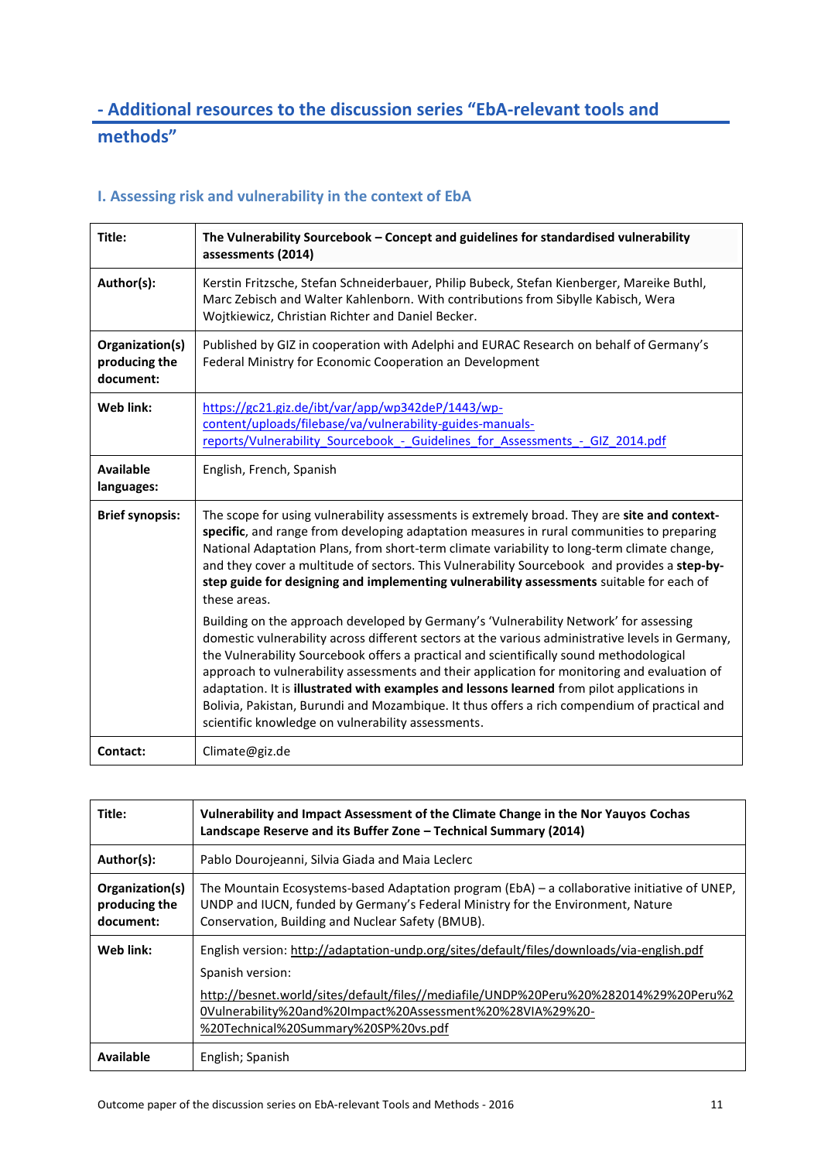# **- Additional resources to the discussion series "EbA-relevant tools and methods"**

## **I. Assessing risk and vulnerability in the context of EbA**

| Title:                                        | The Vulnerability Sourcebook - Concept and guidelines for standardised vulnerability<br>assessments (2014)                                                                                                                                                                                                                                                                                                                                                                                                                                                                                                                               |
|-----------------------------------------------|------------------------------------------------------------------------------------------------------------------------------------------------------------------------------------------------------------------------------------------------------------------------------------------------------------------------------------------------------------------------------------------------------------------------------------------------------------------------------------------------------------------------------------------------------------------------------------------------------------------------------------------|
| Author(s):                                    | Kerstin Fritzsche, Stefan Schneiderbauer, Philip Bubeck, Stefan Kienberger, Mareike Buthl,<br>Marc Zebisch and Walter Kahlenborn. With contributions from Sibylle Kabisch, Wera<br>Wojtkiewicz, Christian Richter and Daniel Becker.                                                                                                                                                                                                                                                                                                                                                                                                     |
| Organization(s)<br>producing the<br>document: | Published by GIZ in cooperation with Adelphi and EURAC Research on behalf of Germany's<br>Federal Ministry for Economic Cooperation an Development                                                                                                                                                                                                                                                                                                                                                                                                                                                                                       |
| Web link:                                     | https://gc21.giz.de/ibt/var/app/wp342deP/1443/wp-<br>content/uploads/filebase/va/vulnerability-guides-manuals-<br>reports/Vulnerability Sourcebook - Guidelines for Assessments - GIZ 2014.pdf                                                                                                                                                                                                                                                                                                                                                                                                                                           |
| <b>Available</b><br>languages:                | English, French, Spanish                                                                                                                                                                                                                                                                                                                                                                                                                                                                                                                                                                                                                 |
| <b>Brief synopsis:</b>                        | The scope for using vulnerability assessments is extremely broad. They are site and context-<br>specific, and range from developing adaptation measures in rural communities to preparing<br>National Adaptation Plans, from short-term climate variability to long-term climate change,<br>and they cover a multitude of sectors. This Vulnerability Sourcebook and provides a step-by-<br>step guide for designing and implementing vulnerability assessments suitable for each of<br>these areas.                                                                                                                                     |
|                                               | Building on the approach developed by Germany's 'Vulnerability Network' for assessing<br>domestic vulnerability across different sectors at the various administrative levels in Germany,<br>the Vulnerability Sourcebook offers a practical and scientifically sound methodological<br>approach to vulnerability assessments and their application for monitoring and evaluation of<br>adaptation. It is illustrated with examples and lessons learned from pilot applications in<br>Bolivia, Pakistan, Burundi and Mozambique. It thus offers a rich compendium of practical and<br>scientific knowledge on vulnerability assessments. |
| Contact:                                      | Climate@giz.de                                                                                                                                                                                                                                                                                                                                                                                                                                                                                                                                                                                                                           |

| Title:                                        | Vulnerability and Impact Assessment of the Climate Change in the Nor Yauyos Cochas<br>Landscape Reserve and its Buffer Zone - Technical Summary (2014)                                                                                                                                                      |
|-----------------------------------------------|-------------------------------------------------------------------------------------------------------------------------------------------------------------------------------------------------------------------------------------------------------------------------------------------------------------|
| Author(s):                                    | Pablo Dourojeanni, Silvia Giada and Maia Leclerc                                                                                                                                                                                                                                                            |
| Organization(s)<br>producing the<br>document: | The Mountain Ecosystems-based Adaptation program (EbA) - a collaborative initiative of UNEP,<br>UNDP and IUCN, funded by Germany's Federal Ministry for the Environment, Nature<br>Conservation, Building and Nuclear Safety (BMUB).                                                                        |
| Web link:                                     | English version: http://adaptation-undp.org/sites/default/files/downloads/via-english.pdf<br>Spanish version:<br>http://besnet.world/sites/default/files//mediafile/UNDP%20Peru%20%282014%29%20Peru%2<br>0Vulnerability%20and%20Impact%20Assessment%20%28VIA%29%20-<br>%20Technical%20Summary%20SP%20vs.pdf |
| <b>Available</b>                              | English; Spanish                                                                                                                                                                                                                                                                                            |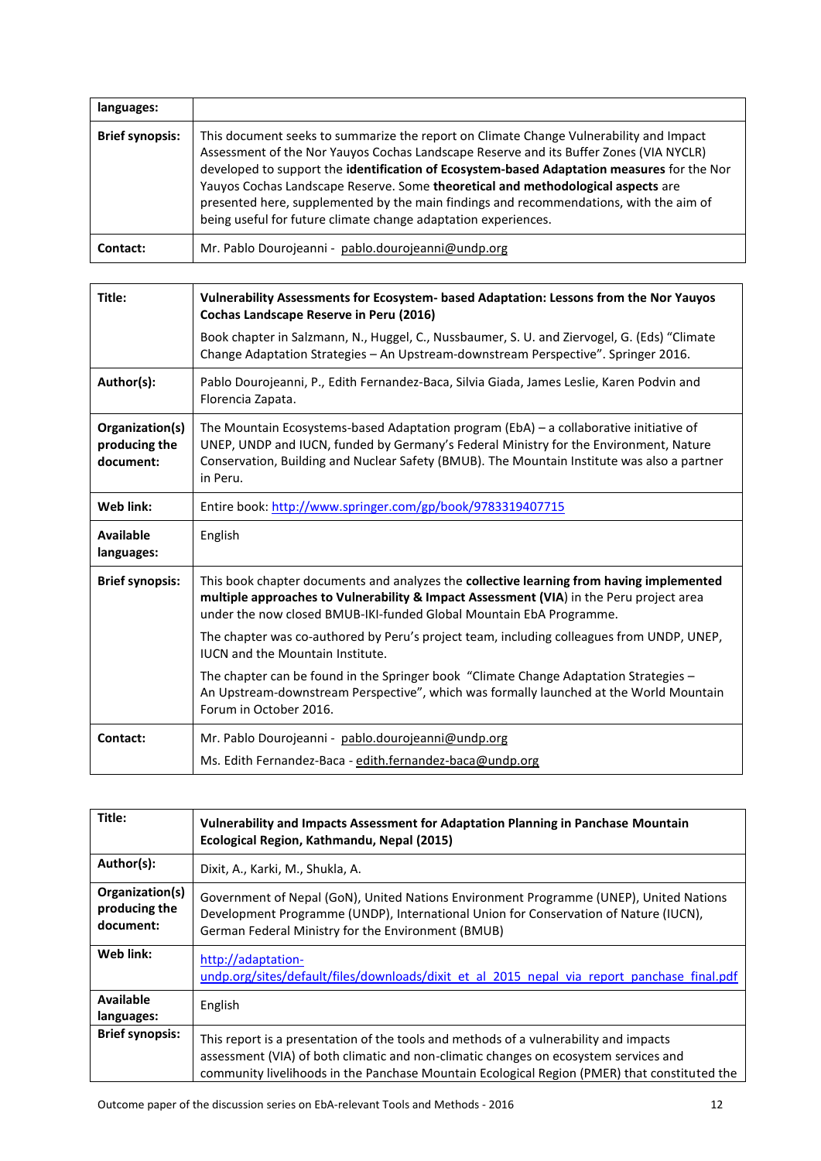| languages:             |                                                                                                                                                                                                                                                                                                                                                                                                                                                                                                                                |
|------------------------|--------------------------------------------------------------------------------------------------------------------------------------------------------------------------------------------------------------------------------------------------------------------------------------------------------------------------------------------------------------------------------------------------------------------------------------------------------------------------------------------------------------------------------|
| <b>Brief synopsis:</b> | This document seeks to summarize the report on Climate Change Vulnerability and Impact<br>Assessment of the Nor Yauyos Cochas Landscape Reserve and its Buffer Zones (VIA NYCLR)<br>developed to support the identification of Ecosystem-based Adaptation measures for the Nor<br>Yauyos Cochas Landscape Reserve. Some theoretical and methodological aspects are<br>presented here, supplemented by the main findings and recommendations, with the aim of<br>being useful for future climate change adaptation experiences. |
| Contact:               | Mr. Pablo Dourojeanni - pablo.dourojeanni@undp.org                                                                                                                                                                                                                                                                                                                                                                                                                                                                             |

| Title:                                        | Vulnerability Assessments for Ecosystem- based Adaptation: Lessons from the Nor Yauyos<br>Cochas Landscape Reserve in Peru (2016)                                                                                                                                                          |
|-----------------------------------------------|--------------------------------------------------------------------------------------------------------------------------------------------------------------------------------------------------------------------------------------------------------------------------------------------|
|                                               | Book chapter in Salzmann, N., Huggel, C., Nussbaumer, S. U. and Ziervogel, G. (Eds) "Climate<br>Change Adaptation Strategies - An Upstream-downstream Perspective". Springer 2016.                                                                                                         |
| Author(s):                                    | Pablo Dourojeanni, P., Edith Fernandez-Baca, Silvia Giada, James Leslie, Karen Podvin and<br>Florencia Zapata.                                                                                                                                                                             |
| Organization(s)<br>producing the<br>document: | The Mountain Ecosystems-based Adaptation program (EbA) – a collaborative initiative of<br>UNEP, UNDP and IUCN, funded by Germany's Federal Ministry for the Environment, Nature<br>Conservation, Building and Nuclear Safety (BMUB). The Mountain Institute was also a partner<br>in Peru. |
| Web link:                                     | Entire book: http://www.springer.com/gp/book/9783319407715                                                                                                                                                                                                                                 |
| Available<br>languages:                       | English                                                                                                                                                                                                                                                                                    |
| <b>Brief synopsis:</b>                        | This book chapter documents and analyzes the collective learning from having implemented<br>multiple approaches to Vulnerability & Impact Assessment (VIA) in the Peru project area<br>under the now closed BMUB-IKI-funded Global Mountain EbA Programme.                                 |
|                                               | The chapter was co-authored by Peru's project team, including colleagues from UNDP, UNEP,<br><b>IUCN</b> and the Mountain Institute.                                                                                                                                                       |
|                                               | The chapter can be found in the Springer book "Climate Change Adaptation Strategies -<br>An Upstream-downstream Perspective", which was formally launched at the World Mountain<br>Forum in October 2016.                                                                                  |
| Contact:                                      | Mr. Pablo Dourojeanni - pablo.dourojeanni@undp.org                                                                                                                                                                                                                                         |
|                                               | Ms. Edith Fernandez-Baca - edith.fernandez-baca@undp.org                                                                                                                                                                                                                                   |

| Title:                                        | Vulnerability and Impacts Assessment for Adaptation Planning in Panchase Mountain<br>Ecological Region, Kathmandu, Nepal (2015)                                                                                                                                               |
|-----------------------------------------------|-------------------------------------------------------------------------------------------------------------------------------------------------------------------------------------------------------------------------------------------------------------------------------|
| Author(s):                                    | Dixit, A., Karki, M., Shukla, A.                                                                                                                                                                                                                                              |
| Organization(s)<br>producing the<br>document: | Government of Nepal (GoN), United Nations Environment Programme (UNEP), United Nations<br>Development Programme (UNDP), International Union for Conservation of Nature (IUCN),<br>German Federal Ministry for the Environment (BMUB)                                          |
| Web link:                                     | http://adaptation-<br>undp.org/sites/default/files/downloads/dixit et al 2015 nepal via report panchase final.pdf                                                                                                                                                             |
| Available<br>languages:                       | English                                                                                                                                                                                                                                                                       |
| <b>Brief synopsis:</b>                        | This report is a presentation of the tools and methods of a vulnerability and impacts<br>assessment (VIA) of both climatic and non-climatic changes on ecosystem services and<br>community livelihoods in the Panchase Mountain Ecological Region (PMER) that constituted the |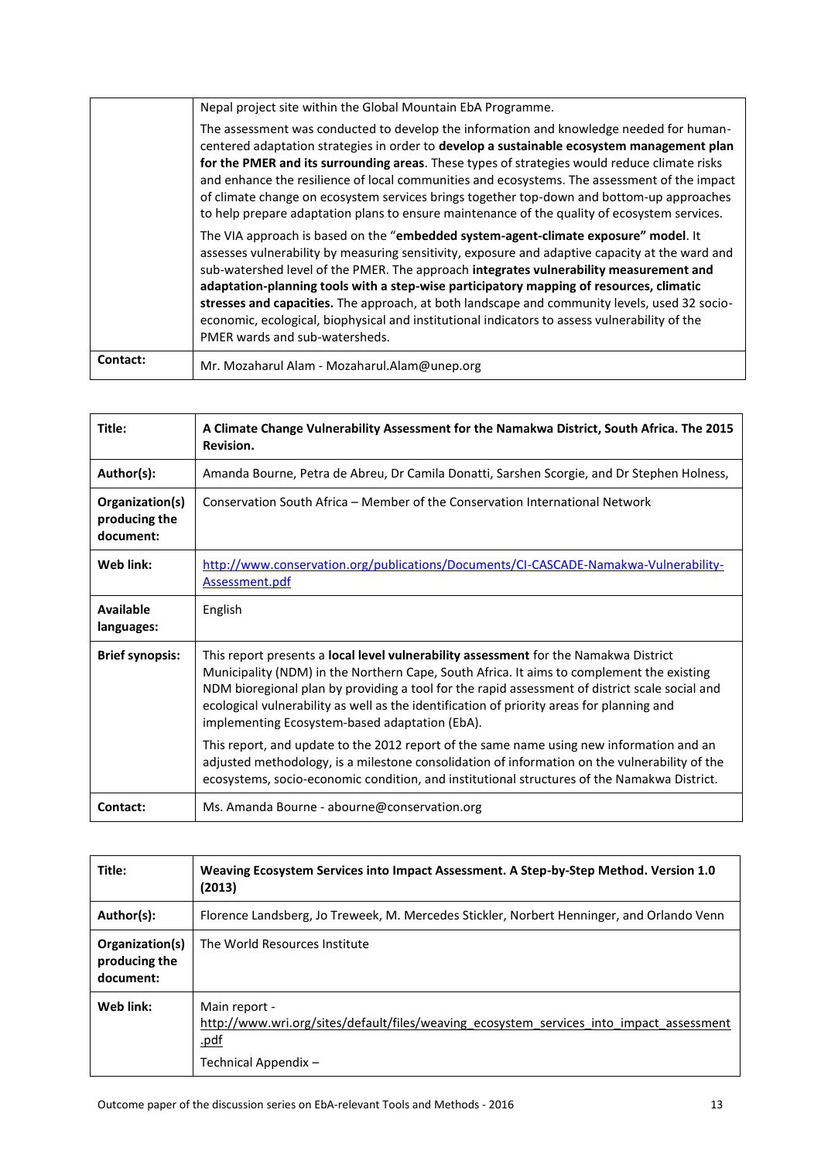|          | Nepal project site within the Global Mountain EbA Programme.                                                                                                                                                                                                                                                                                                                                                                                                                                                                                                                                                             |
|----------|--------------------------------------------------------------------------------------------------------------------------------------------------------------------------------------------------------------------------------------------------------------------------------------------------------------------------------------------------------------------------------------------------------------------------------------------------------------------------------------------------------------------------------------------------------------------------------------------------------------------------|
|          | The assessment was conducted to develop the information and knowledge needed for human-<br>centered adaptation strategies in order to develop a sustainable ecosystem management plan<br>for the PMER and its surrounding areas. These types of strategies would reduce climate risks<br>and enhance the resilience of local communities and ecosystems. The assessment of the impact<br>of climate change on ecosystem services brings together top-down and bottom-up approaches<br>to help prepare adaptation plans to ensure maintenance of the quality of ecosystem services.                                       |
|          | The VIA approach is based on the " <b>embedded system-agent-climate exposure" model</b> . It<br>assesses vulnerability by measuring sensitivity, exposure and adaptive capacity at the ward and<br>sub-watershed level of the PMER. The approach integrates vulnerability measurement and<br>adaptation-planning tools with a step-wise participatory mapping of resources, climatic<br>stresses and capacities. The approach, at both landscape and community levels, used 32 socio-<br>economic, ecological, biophysical and institutional indicators to assess vulnerability of the<br>PMER wards and sub-watersheds. |
| Contact: | Mr. Mozaharul Alam - Mozaharul.Alam@unep.org                                                                                                                                                                                                                                                                                                                                                                                                                                                                                                                                                                             |

| Title:                                        | A Climate Change Vulnerability Assessment for the Namakwa District, South Africa. The 2015<br>Revision.                                                                                                                                                                                                                                                                                                                            |
|-----------------------------------------------|------------------------------------------------------------------------------------------------------------------------------------------------------------------------------------------------------------------------------------------------------------------------------------------------------------------------------------------------------------------------------------------------------------------------------------|
| Author(s):                                    | Amanda Bourne, Petra de Abreu, Dr Camila Donatti, Sarshen Scorgie, and Dr Stephen Holness,                                                                                                                                                                                                                                                                                                                                         |
| Organization(s)<br>producing the<br>document: | Conservation South Africa – Member of the Conservation International Network                                                                                                                                                                                                                                                                                                                                                       |
| Web link:                                     | http://www.conservation.org/publications/Documents/CI-CASCADE-Namakwa-Vulnerability-<br>Assessment.pdf                                                                                                                                                                                                                                                                                                                             |
| <b>Available</b><br>languages:                | English                                                                                                                                                                                                                                                                                                                                                                                                                            |
| <b>Brief synopsis:</b>                        | This report presents a local level vulnerability assessment for the Namakwa District<br>Municipality (NDM) in the Northern Cape, South Africa. It aims to complement the existing<br>NDM bioregional plan by providing a tool for the rapid assessment of district scale social and<br>ecological vulnerability as well as the identification of priority areas for planning and<br>implementing Ecosystem-based adaptation (EbA). |
|                                               | This report, and update to the 2012 report of the same name using new information and an<br>adjusted methodology, is a milestone consolidation of information on the vulnerability of the<br>ecosystems, socio-economic condition, and institutional structures of the Namakwa District.                                                                                                                                           |
| Contact:                                      | Ms. Amanda Bourne - abourne@conservation.org                                                                                                                                                                                                                                                                                                                                                                                       |

| Title:                                        | Weaving Ecosystem Services into Impact Assessment. A Step-by-Step Method. Version 1.0<br>(2013)                                           |
|-----------------------------------------------|-------------------------------------------------------------------------------------------------------------------------------------------|
| Author(s):                                    | Florence Landsberg, Jo Treweek, M. Mercedes Stickler, Norbert Henninger, and Orlando Venn                                                 |
| Organization(s)<br>producing the<br>document: | The World Resources Institute                                                                                                             |
| Web link:                                     | Main report -<br>http://www.wri.org/sites/default/files/weaving ecosystem services into impact assessment<br>.pdf<br>Technical Appendix - |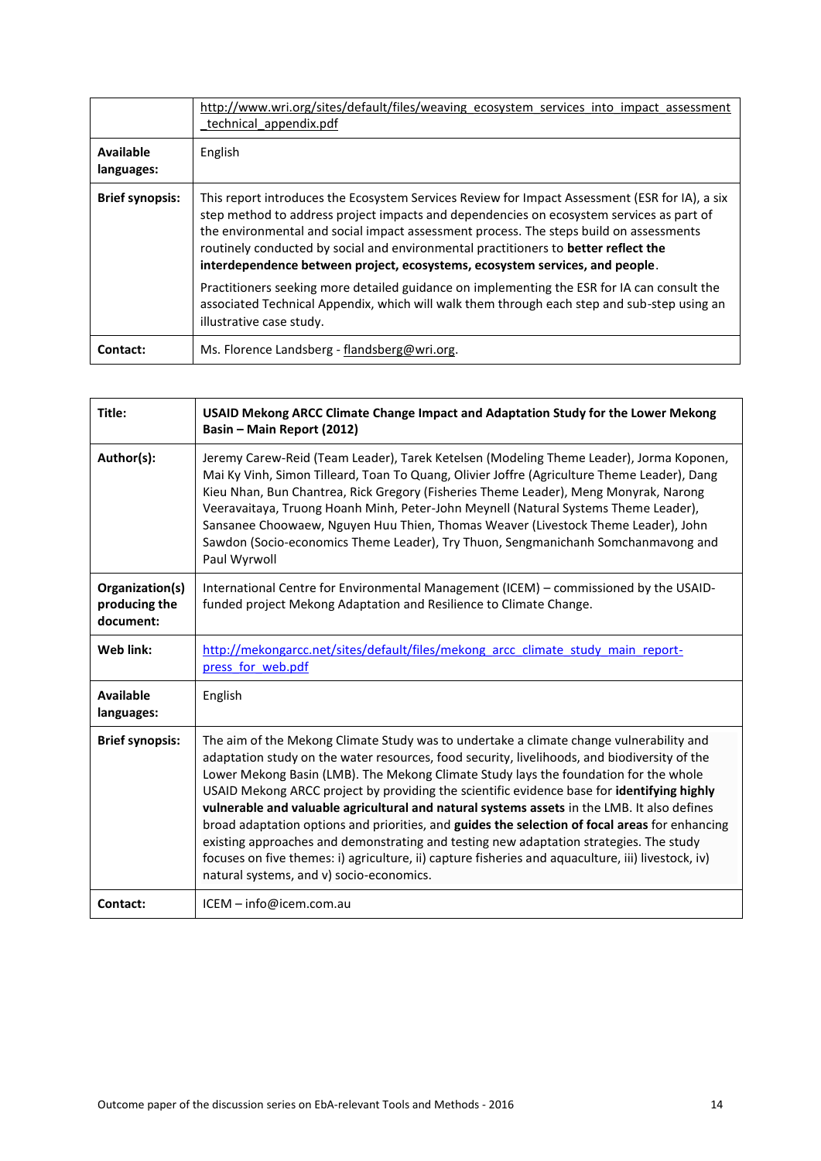|                                | http://www.wri.org/sites/default/files/weaving ecosystem services into impact assessment<br>technical appendix.pdf                                                                                                                                                                                                                                                                                                                                                 |
|--------------------------------|--------------------------------------------------------------------------------------------------------------------------------------------------------------------------------------------------------------------------------------------------------------------------------------------------------------------------------------------------------------------------------------------------------------------------------------------------------------------|
| <b>Available</b><br>languages: | English                                                                                                                                                                                                                                                                                                                                                                                                                                                            |
| <b>Brief synopsis:</b>         | This report introduces the Ecosystem Services Review for Impact Assessment (ESR for IA), a six<br>step method to address project impacts and dependencies on ecosystem services as part of<br>the environmental and social impact assessment process. The steps build on assessments<br>routinely conducted by social and environmental practitioners to <b>better reflect the</b><br>interdependence between project, ecosystems, ecosystem services, and people. |
|                                | Practitioners seeking more detailed guidance on implementing the ESR for IA can consult the<br>associated Technical Appendix, which will walk them through each step and sub-step using an<br>illustrative case study.                                                                                                                                                                                                                                             |
| Contact:                       | Ms. Florence Landsberg - flandsberg@wri.org.                                                                                                                                                                                                                                                                                                                                                                                                                       |

| Title:                                        | USAID Mekong ARCC Climate Change Impact and Adaptation Study for the Lower Mekong<br>Basin - Main Report (2012)                                                                                                                                                                                                                                                                                                                                                                                                                                                                                                                                                                                                                                                                                                            |
|-----------------------------------------------|----------------------------------------------------------------------------------------------------------------------------------------------------------------------------------------------------------------------------------------------------------------------------------------------------------------------------------------------------------------------------------------------------------------------------------------------------------------------------------------------------------------------------------------------------------------------------------------------------------------------------------------------------------------------------------------------------------------------------------------------------------------------------------------------------------------------------|
| Author(s):                                    | Jeremy Carew-Reid (Team Leader), Tarek Ketelsen (Modeling Theme Leader), Jorma Koponen,<br>Mai Ky Vinh, Simon Tilleard, Toan To Quang, Olivier Joffre (Agriculture Theme Leader), Dang<br>Kieu Nhan, Bun Chantrea, Rick Gregory (Fisheries Theme Leader), Meng Monyrak, Narong<br>Veeravaitaya, Truong Hoanh Minh, Peter-John Meynell (Natural Systems Theme Leader),<br>Sansanee Choowaew, Nguyen Huu Thien, Thomas Weaver (Livestock Theme Leader), John<br>Sawdon (Socio-economics Theme Leader), Try Thuon, Sengmanichanh Somchanmavong and<br>Paul Wyrwoll                                                                                                                                                                                                                                                            |
| Organization(s)<br>producing the<br>document: | International Centre for Environmental Management (ICEM) - commissioned by the USAID-<br>funded project Mekong Adaptation and Resilience to Climate Change.                                                                                                                                                                                                                                                                                                                                                                                                                                                                                                                                                                                                                                                                |
| Web link:                                     | http://mekongarcc.net/sites/default/files/mekong arcc climate study main report-<br>press for web.pdf                                                                                                                                                                                                                                                                                                                                                                                                                                                                                                                                                                                                                                                                                                                      |
| <b>Available</b><br>languages:                | English                                                                                                                                                                                                                                                                                                                                                                                                                                                                                                                                                                                                                                                                                                                                                                                                                    |
| <b>Brief synopsis:</b>                        | The aim of the Mekong Climate Study was to undertake a climate change vulnerability and<br>adaptation study on the water resources, food security, livelihoods, and biodiversity of the<br>Lower Mekong Basin (LMB). The Mekong Climate Study lays the foundation for the whole<br>USAID Mekong ARCC project by providing the scientific evidence base for identifying highly<br>vulnerable and valuable agricultural and natural systems assets in the LMB. It also defines<br>broad adaptation options and priorities, and guides the selection of focal areas for enhancing<br>existing approaches and demonstrating and testing new adaptation strategies. The study<br>focuses on five themes: i) agriculture, ii) capture fisheries and aquaculture, iii) livestock, iv)<br>natural systems, and v) socio-economics. |
| Contact:                                      | ICEM - info@icem.com.au                                                                                                                                                                                                                                                                                                                                                                                                                                                                                                                                                                                                                                                                                                                                                                                                    |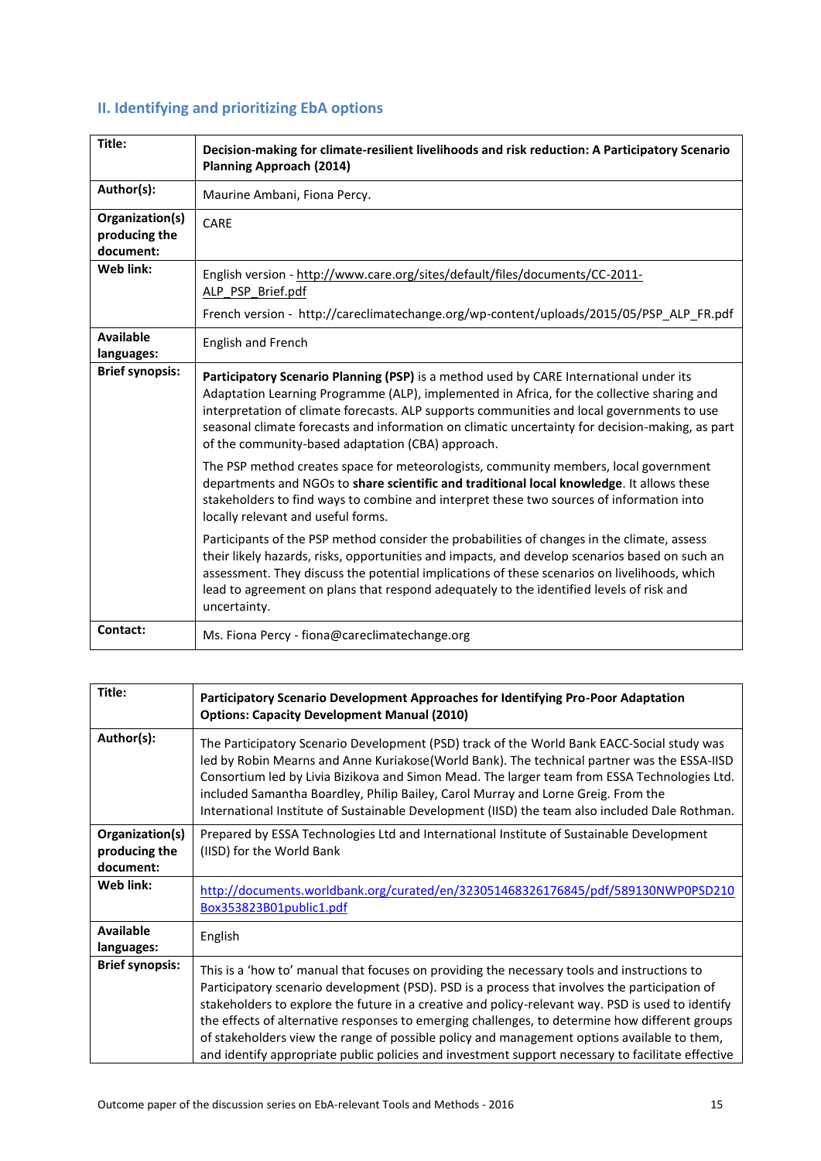# **II. Identifying and prioritizing EbA options**

| Title:                                        | Decision-making for climate-resilient livelihoods and risk reduction: A Participatory Scenario<br><b>Planning Approach (2014)</b>                                                                                                                                                                                                                                                                                                          |
|-----------------------------------------------|--------------------------------------------------------------------------------------------------------------------------------------------------------------------------------------------------------------------------------------------------------------------------------------------------------------------------------------------------------------------------------------------------------------------------------------------|
| Author(s):                                    | Maurine Ambani, Fiona Percy.                                                                                                                                                                                                                                                                                                                                                                                                               |
| Organization(s)<br>producing the<br>document: | CARE                                                                                                                                                                                                                                                                                                                                                                                                                                       |
| Web link:                                     | English version - http://www.care.org/sites/default/files/documents/CC-2011-<br>ALP PSP Brief.pdf<br>French version - http://careclimatechange.org/wp-content/uploads/2015/05/PSP_ALP_FR.pdf                                                                                                                                                                                                                                               |
| <b>Available</b><br>languages:                | <b>English and French</b>                                                                                                                                                                                                                                                                                                                                                                                                                  |
| <b>Brief synopsis:</b>                        | Participatory Scenario Planning (PSP) is a method used by CARE International under its<br>Adaptation Learning Programme (ALP), implemented in Africa, for the collective sharing and<br>interpretation of climate forecasts. ALP supports communities and local governments to use<br>seasonal climate forecasts and information on climatic uncertainty for decision-making, as part<br>of the community-based adaptation (CBA) approach. |
|                                               | The PSP method creates space for meteorologists, community members, local government<br>departments and NGOs to share scientific and traditional local knowledge. It allows these<br>stakeholders to find ways to combine and interpret these two sources of information into<br>locally relevant and useful forms.                                                                                                                        |
|                                               | Participants of the PSP method consider the probabilities of changes in the climate, assess<br>their likely hazards, risks, opportunities and impacts, and develop scenarios based on such an<br>assessment. They discuss the potential implications of these scenarios on livelihoods, which<br>lead to agreement on plans that respond adequately to the identified levels of risk and<br>uncertainty.                                   |
| Contact:                                      | Ms. Fiona Percy - fiona@careclimatechange.org                                                                                                                                                                                                                                                                                                                                                                                              |

| Title:                                        | Participatory Scenario Development Approaches for Identifying Pro-Poor Adaptation<br><b>Options: Capacity Development Manual (2010)</b>                                                                                                                                                                                                                                                                                                                                                                                                                                                                 |
|-----------------------------------------------|---------------------------------------------------------------------------------------------------------------------------------------------------------------------------------------------------------------------------------------------------------------------------------------------------------------------------------------------------------------------------------------------------------------------------------------------------------------------------------------------------------------------------------------------------------------------------------------------------------|
| Author(s):                                    | The Participatory Scenario Development (PSD) track of the World Bank EACC-Social study was<br>led by Robin Mearns and Anne Kuriakose(World Bank). The technical partner was the ESSA-IISD<br>Consortium led by Livia Bizikova and Simon Mead. The larger team from ESSA Technologies Ltd.<br>included Samantha Boardley, Philip Bailey, Carol Murray and Lorne Greig. From the<br>International Institute of Sustainable Development (IISD) the team also included Dale Rothman.                                                                                                                        |
| Organization(s)<br>producing the<br>document: | Prepared by ESSA Technologies Ltd and International Institute of Sustainable Development<br>(IISD) for the World Bank                                                                                                                                                                                                                                                                                                                                                                                                                                                                                   |
| Web link:                                     | http://documents.worldbank.org/curated/en/323051468326176845/pdf/589130NWP0PSD210<br>Box353823B01public1.pdf                                                                                                                                                                                                                                                                                                                                                                                                                                                                                            |
| <b>Available</b><br>languages:                | English                                                                                                                                                                                                                                                                                                                                                                                                                                                                                                                                                                                                 |
| <b>Brief synopsis:</b>                        | This is a 'how to' manual that focuses on providing the necessary tools and instructions to<br>Participatory scenario development (PSD). PSD is a process that involves the participation of<br>stakeholders to explore the future in a creative and policy-relevant way. PSD is used to identify<br>the effects of alternative responses to emerging challenges, to determine how different groups<br>of stakeholders view the range of possible policy and management options available to them,<br>and identify appropriate public policies and investment support necessary to facilitate effective |